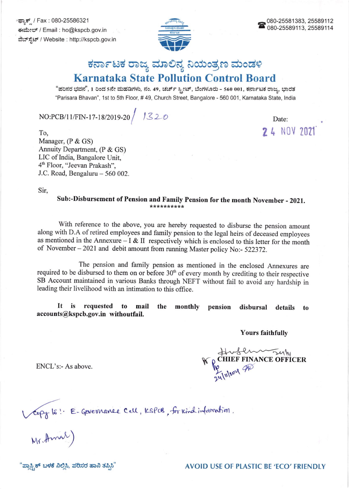್ಫ್ಯಾಕ್ಸ್ / Fax : 080-25586321 ಈಮೇಲ್ / Email : ho@kspcb.gov.in ವೆಬ್ಸ್ಟೆಟ್ / Website : http://kspcb.gov.in



## ಕರ್ನಾಟಕ ರಾಜ್ಯ ಮಾಲಿನ್ಯ ನಿಯಂತ್ರಣ ಮಂಡಳಿ **Karnataka State Pollution Control Board**

"ಪರಿಸರ ಭವನ", 1 ರಿಂದ 5ನೇ ಮಹಡಿಗಳು, ನಂ. 49, ಚರ್ಚ್ ಸ್ಟೀಟ್, ಬೆಂಗಳೂರು - 560 001, ಕರ್ನಾಟಕ ರಾಜ್ಯ, ಭಾರತ "Parisara Bhavan", 1st to 5th Floor, #49, Church Street, Bangalore - 560 001, Karnataka State, India

 $NO:PCB/11/FIN-17-18/2019-20 / J320$ 

Date: 2 4 NOV 2021

To, Manager, (P & GS) Annuity Department, (P & GS) LIC of India, Bangalore Unit, 4<sup>th</sup> Floor, "Jeevan Prakash", J.C. Road, Bengaluru  $-560002$ .

Sir.

Sub:-Disbursement of Pension and Family Pension for the month November - 2021. \*\*\*\*\*\*\*\*\*\*

With reference to the above, you are hereby requested to disburse the pension amount along with D.A of retired employees and family pension to the legal heirs of deceased employees as mentioned in the Annexure  $- I & II$  respectively which is enclosed to this letter for the month of November - 2021 and debit amount from running Master policy No:- 522372.

The pension and family pension as mentioned in the enclosed Annexures are required to be disbursed to them on or before  $30<sup>th</sup>$  of every month by crediting to their respective SB Account maintained in various Banks through NEFT without fail to avoid any hardship in leading their livelihood with an intimation to this office.

It is requested to mail the monthly pension disbursal details to accounts@kspcb.gov.in withoutfail.

**Yours faithfully** 

We CHIEF FINANCE OFFICER

ENCL's:- As above.

Verpy le l. E-Governance Cell, KSPCB, for Kindinformation.<br>Mr. Amal)

"ಪ್ಲಾಸ್ಪ್ರಿಕ್ ಬಳಕೆ ನಿಲ್ಲಿಸಿ, ಪರಿಸರ ಹಾನಿ ತಪ್ಪಿಸಿ"